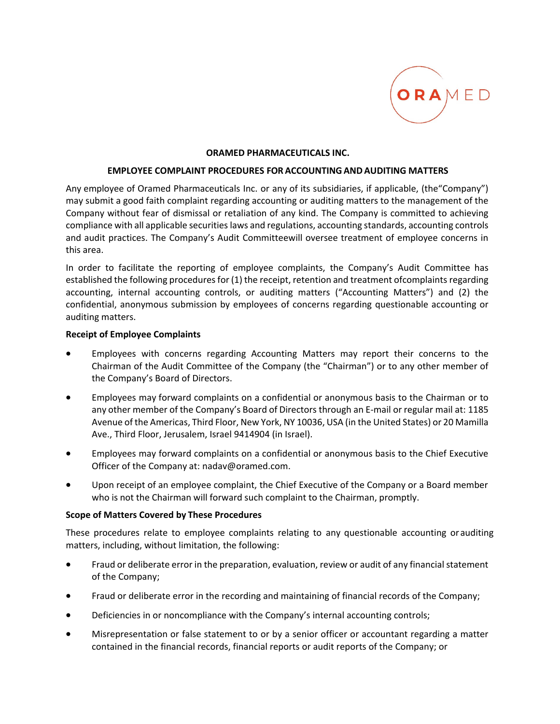

### **ORAMED PHARMACEUTICALS INC.**

#### **EMPLOYEE COMPLAINT PROCEDURES FOR ACCOUNTINGANDAUDITING MATTERS**

Any employee of Oramed Pharmaceuticals Inc. or any of its subsidiaries, if applicable, (the"Company") may submit a good faith complaint regarding accounting or auditing matters to the management of the Company without fear of dismissal or retaliation of any kind. The Company is committed to achieving compliance with all applicable securitieslaws and regulations, accounting standards, accounting controls and audit practices. The Company's Audit Committeewill oversee treatment of employee concerns in this area.

In order to facilitate the reporting of employee complaints, the Company's Audit Committee has established the following procedures for (1) the receipt, retention and treatment ofcomplaints regarding accounting, internal accounting controls, or auditing matters ("Accounting Matters") and (2) the confidential, anonymous submission by employees of concerns regarding questionable accounting or auditing matters.

### **Receipt of Employee Complaints**

- Employees with concerns regarding Accounting Matters may report their concerns to the Chairman of the Audit Committee of the Company (the "Chairman") or to any other member of the Company's Board of Directors.
- Employees may forward complaints on a confidential or anonymous basis to the Chairman or to any other member of the Company's Board of Directors through an E‐mail or regular mail at: 1185 Avenue of the Americas, Third Floor, New York, NY 10036, USA (in the United States) or 20 Mamilla Ave., Third Floor, Jerusalem, Israel 9414904 (in Israel).
- Employees may forward complaints on a confidential or anonymous basis to the Chief Executive Officer of the Company at: nadav@oramed.com.
- Upon receipt of an employee complaint, the Chief Executive of the Company or a Board member who is not the Chairman will forward such complaint to the Chairman, promptly.

### **Scope of Matters Covered by These Procedures**

These procedures relate to employee complaints relating to any questionable accounting orauditing matters, including, without limitation, the following:

- Fraud or deliberate error in the preparation, evaluation, review or audit of any financial statement of the Company;
- Fraud or deliberate error in the recording and maintaining of financial records of the Company;
- Deficiencies in or noncompliance with the Company's internal accounting controls;
- Misrepresentation or false statement to or by a senior officer or accountant regarding a matter contained in the financial records, financial reports or audit reports of the Company; or